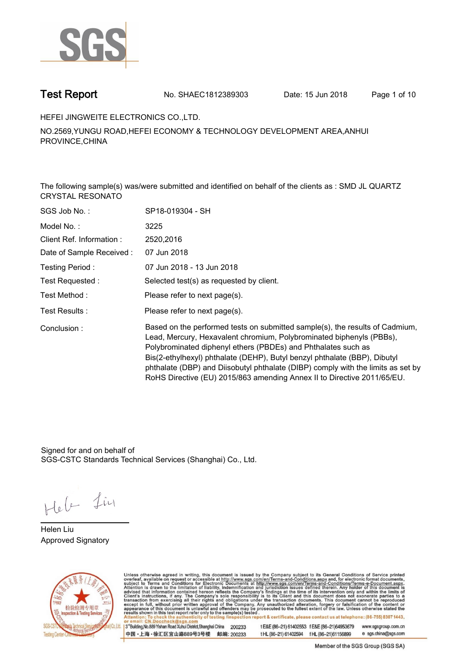

**Test Report. No. SHAEC1812389303 Date: 15 Jun 2018. Page 1 of 10.**

**HEFEI JINGWEITE ELECTRONICS CO.,LTD..**

**NO.2569,YUNGU ROAD,HEFEI ECONOMY & TECHNOLOGY DEVELOPMENT AREA,ANHUI PROVINCE,CHINA**

**The following sample(s) was/were submitted and identified on behalf of the clients as : SMD JL QUARTZ CRYSTAL RESONATO.**

| SGS Job No.:              | SP18-019304 - SH                                                                                                                                                                                                                                                                                                                                                                                                                                                  |
|---------------------------|-------------------------------------------------------------------------------------------------------------------------------------------------------------------------------------------------------------------------------------------------------------------------------------------------------------------------------------------------------------------------------------------------------------------------------------------------------------------|
| Model No.:                | 3225                                                                                                                                                                                                                                                                                                                                                                                                                                                              |
| Client Ref. Information:  | 2520,2016                                                                                                                                                                                                                                                                                                                                                                                                                                                         |
| Date of Sample Received : | 07 Jun 2018                                                                                                                                                                                                                                                                                                                                                                                                                                                       |
| Testing Period:           | 07 Jun 2018 - 13 Jun 2018                                                                                                                                                                                                                                                                                                                                                                                                                                         |
| Test Requested :          | Selected test(s) as requested by client.                                                                                                                                                                                                                                                                                                                                                                                                                          |
| Test Method :             | Please refer to next page(s).                                                                                                                                                                                                                                                                                                                                                                                                                                     |
| Test Results :            | Please refer to next page(s).                                                                                                                                                                                                                                                                                                                                                                                                                                     |
| Conclusion:               | Based on the performed tests on submitted sample(s), the results of Cadmium,<br>Lead, Mercury, Hexavalent chromium, Polybrominated biphenyls (PBBs),<br>Polybrominated diphenyl ethers (PBDEs) and Phthalates such as<br>Bis(2-ethylhexyl) phthalate (DEHP), Butyl benzyl phthalate (BBP), Dibutyl<br>phthalate (DBP) and Diisobutyl phthalate (DIBP) comply with the limits as set by<br>RoHS Directive (EU) 2015/863 amending Annex II to Directive 2011/65/EU. |

Signed for and on behalf of SGS-CSTC Standards Technical Services (Shanghai) Co., Ltd..

Hele Lin

**Helen Liu. Approved Signatory.**



Unless otherwise agreed in writing, this document is issued by the Company subject to its General Conditions of Service printed<br>overleaf, available on request or accessible at http://www.sgs.com/en/Terms-and-Conditions.asp

3<sup>rd</sup>Building, No.889 Yishan Road Xuhui District, Shanghai China 200233 中国·上海·徐汇区宜山路889号3号楼 邮编: 200233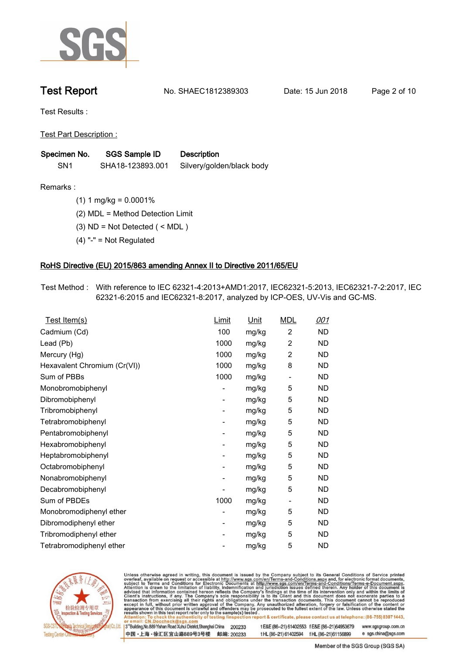

**Test Report. No. SHAEC1812389303 Date: 15 Jun 2018. Page 2 of 10.**

**Test Results :.**

**Test Part Description :.**

| Specimen No.<br>SGS Sample ID |                  | <b>Description</b>        |  |
|-------------------------------|------------------|---------------------------|--|
| SN <sub>1</sub>               | SHA18-123893.001 | Silvery/golden/black body |  |

**Remarks :.(1) 1 mg/kg = 0.0001%.**

**(2) MDL = Method Detection Limit.**

**(3) ND = Not Detected ( < MDL ).**

**(4) "-" = Not Regulated.**

### **RoHS Directive (EU) 2015/863 amending Annex II to Directive 2011/65/EU.**

**Test Method :. With reference to IEC 62321-4:2013+AMD1:2017, IEC62321-5:2013, IEC62321-7-2:2017, IEC 62321-6:2015 and IEC62321-8:2017, analyzed by ICP-OES, UV-Vis and GC-MS..**

| <u>Test Item(s)</u>          | Limit                    | <u>Unit</u> | <b>MDL</b>     | <u>001</u> |
|------------------------------|--------------------------|-------------|----------------|------------|
| Cadmium (Cd)                 | 100                      | mg/kg       | $\overline{2}$ | <b>ND</b>  |
| Lead (Pb)                    | 1000                     | mg/kg       | $\overline{2}$ | ND         |
| Mercury (Hg)                 | 1000                     | mg/kg       | $\overline{2}$ | ND         |
| Hexavalent Chromium (Cr(VI)) | 1000                     | mg/kg       | 8              | ND         |
| Sum of PBBs                  | 1000                     | mg/kg       |                | ND         |
| Monobromobiphenyl            |                          | mg/kg       | 5              | ND         |
| Dibromobiphenyl              | $\overline{\phantom{0}}$ | mg/kg       | 5              | ND         |
| Tribromobiphenyl             | $\overline{a}$           | mg/kg       | 5              | ND         |
| Tetrabromobiphenyl           | -                        | mg/kg       | 5              | ND         |
| Pentabromobiphenyl           | $\overline{\phantom{0}}$ | mg/kg       | 5              | ND         |
| Hexabromobiphenyl            | -                        | mg/kg       | 5              | ND         |
| Heptabromobiphenyl           |                          | mg/kg       | 5              | ND         |
| Octabromobiphenyl            | -                        | mg/kg       | 5              | ND         |
| Nonabromobiphenyl            |                          | mg/kg       | 5              | ND         |
| Decabromobiphenyl            |                          | mg/kg       | 5              | ND         |
| Sum of PBDEs                 | 1000                     | mg/kg       | -              | ND         |
| Monobromodiphenyl ether      | ۰                        | mg/kg       | 5              | ND         |
| Dibromodiphenyl ether        | -                        | mg/kg       | 5              | <b>ND</b>  |
| Tribromodiphenyl ether       | -                        | mg/kg       | 5              | ND         |
| Tetrabromodiphenyl ether     |                          | mg/kg       | 5              | ND         |
|                              |                          |             |                |            |



Unless otherwise agreed in writing, this document is issued by the Company subject to its General Conditions of Service printed overleaf, available on request or accessible at http://www.sgs.com/en/Terms-and-Conditions.asp

3<sup>rd</sup>Building, No.889 Yishan Road Xuhui District, Shanghai China 200233 中国·上海·徐汇区宜山路889号3号楼 邮编: 200233 t E&E (86-21) 61402553 f E&E (86-21)64953679 www.sgsgroup.com.cn

t HL (86-21) 61402594 f HL (86-21) 61156899 e sgs.china@sgs.com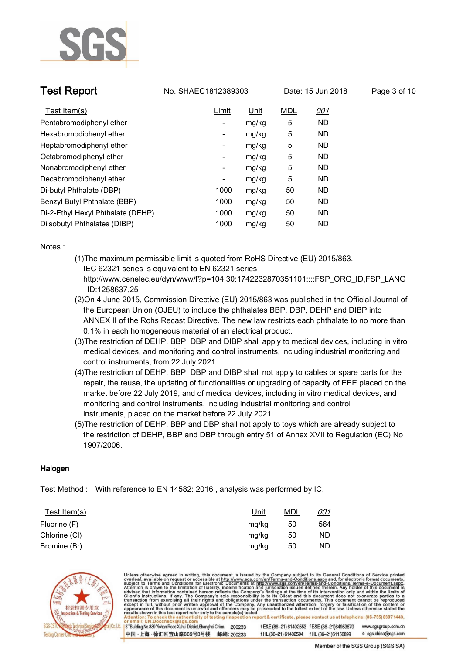

**Test Report. No. SHAEC1812389303** Date: 15 Jun 2018

| age 3 of 10 |  |  |
|-------------|--|--|
|             |  |  |

| Test Item $(s)$                   | Limit                    | Unit  | <b>MDL</b> | <u>001</u> |
|-----------------------------------|--------------------------|-------|------------|------------|
| Pentabromodiphenyl ether          | Ξ.                       | mg/kg | 5          | <b>ND</b>  |
| Hexabromodiphenyl ether           | $\overline{\phantom{a}}$ | mg/kg | 5          | <b>ND</b>  |
| Heptabromodiphenyl ether          | $\overline{\phantom{a}}$ | mg/kg | 5          | <b>ND</b>  |
| Octabromodiphenyl ether           | ۰.                       | mg/kg | 5          | <b>ND</b>  |
| Nonabromodiphenyl ether           | $\overline{\phantom{a}}$ | mg/kg | 5          | ND         |
| Decabromodiphenyl ether           | $\overline{\phantom{a}}$ | mg/kg | 5          | <b>ND</b>  |
| Di-butyl Phthalate (DBP)          | 1000                     | mg/kg | 50         | ND         |
| Benzyl Butyl Phthalate (BBP)      | 1000                     | mg/kg | 50         | <b>ND</b>  |
| Di-2-Ethyl Hexyl Phthalate (DEHP) | 1000                     | mg/kg | 50         | <b>ND</b>  |
| Diisobutyl Phthalates (DIBP)      | 1000                     | mg/kg | 50         | ND         |

**Notes :.**

- **(1)The maximum permissible limit is quoted from RoHS Directive (EU) 2015/863. IEC 62321 series is equivalent to EN 62321 series http://www.cenelec.eu/dyn/www/f?p=104:30:1742232870351101::::FSP\_ORG\_ID,FSP\_LANG**
	- **\_ID:1258637,25**
- **(2)On 4 June 2015, Commission Directive (EU) 2015/863 was published in the Official Journal of the European Union (OJEU) to include the phthalates BBP, DBP, DEHP and DIBP into ANNEX II of the Rohs Recast Directive. The new law restricts each phthalate to no more than 0.1% in each homogeneous material of an electrical product.**
- **(3)The restriction of DEHP, BBP, DBP and DIBP shall apply to medical devices, including in vitro medical devices, and monitoring and control instruments, including industrial monitoring and control instruments, from 22 July 2021.**
- **(4)The restriction of DEHP, BBP, DBP and DIBP shall not apply to cables or spare parts for the repair, the reuse, the updating of functionalities or upgrading of capacity of EEE placed on the market before 22 July 2019, and of medical devices, including in vitro medical devices, and monitoring and control instruments, including industrial monitoring and control instruments, placed on the market before 22 July 2021.**
- **(5)The restriction of DEHP, BBP and DBP shall not apply to toys which are already subject to the restriction of DEHP, BBP and DBP through entry 51 of Annex XVII to Regulation (EC) No 1907/2006..**

### **Halogen.**

**Test Method :. With reference to EN 14582: 2016 , analysis was performed by IC..**

| Test Item $(s)$ | <u>Unit</u> | <b>MDL</b> | <u>001</u> |
|-----------------|-------------|------------|------------|
| Fluorine (F)    | mg/kg       | 50         | 564        |
| Chlorine (CI)   | mg/kg       | 50         | ND         |
| Bromine (Br)    | mg/kg       | 50         | ND         |

中国·上海·徐汇区宜山路889号3号楼 邮编: 200233



Unless otherwise agreed in writing, this document is issued by the Company subject to its General Conditions of Service printed overleaf, available on request or accessible at http://www.sgs.com/en/Terms-and-Conditions.asp results shown in this test report refer only to the sample(s) tested on report & certificate, please contact us at telephone: (86-755) 8307 1443, esting /ins 3<sup>rd</sup>Building, No.889 Yishan Road Xuhui District, Shanghai China 200233 tE&E (86-21) 61402553 fE&E (86-21)64953679 www.sgsgroup.com.cn

tHL (86-21) 61402594 fHL (86-21) 61156899

Member of the SGS Group (SGS SA)

e sgs.china@sgs.com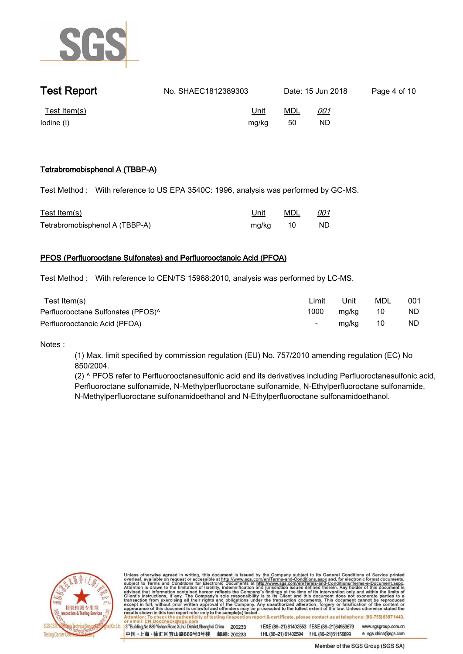

| <b>Test Report</b>            | No. SHAEC1812389303  | Date: 15 Jun 2018                    | Page 4 of 10 |
|-------------------------------|----------------------|--------------------------------------|--------------|
| Test Item $(s)$<br>lodine (I) | <u>Unit</u><br>mg/kg | <b>MDL</b><br><u>001</u><br>ND<br>50 |              |

### **Tetrabromobisphenol A (TBBP-A).**

**Test Method :. With reference to US EPA 3540C: 1996, analysis was performed by GC-MS..**

| Test Item(s)                   |          | Unit MDL 001 |      |
|--------------------------------|----------|--------------|------|
| Tetrabromobisphenol A (TBBP-A) | mg/kg 10 |              | - ND |

### **PFOS (Perfluorooctane Sulfonates) and Perfluorooctanoic Acid (PFOA).**

**Test Method :. With reference to CEN/TS 15968:2010, analysis was performed by LC-MS..**

| Test Item(s)                                   | <u>Limit</u>             | Unit  | MDL | <u>001</u> |
|------------------------------------------------|--------------------------|-------|-----|------------|
| Perfluorooctane Sulfonates (PFOS) <sup>^</sup> | 1000                     | mg/kg | 10  | ND         |
| Perfluorooctanoic Acid (PFOA)                  | $\overline{\phantom{0}}$ | mg/kg | 10  | ND.        |

**Notes :.**

**(1) Max. limit specified by commission regulation (EU) No. 757/2010 amending regulation (EC) No 850/2004.**

**(2) ^ PFOS refer to Perfluorooctanesulfonic acid and its derivatives including Perfluoroctanesulfonic acid, Perfluoroctane sulfonamide, N-Methylperfluoroctane sulfonamide, N-Ethylperfluoroctane sulfonamide, N-Methylperfluoroctane sulfonamidoethanol and N-Ethylperfluoroctane sulfonamidoethanol..**



Unless otherwise agreed in writing, this document is issued by the Company subject to its General Conditions of Service printed overleaf, available on request or accessible at http://www.sgs.com/en/Terms-and-Conditions.asp ion report & certificate, please contact us at telephone: (86-755) 8307 1443, testing /insp

3<sup>rd</sup>Building, No.889 Yishan Road Xuhui District, Shanghai China 200233 中国·上海·徐汇区宜山路889号3号楼 邮编: 200233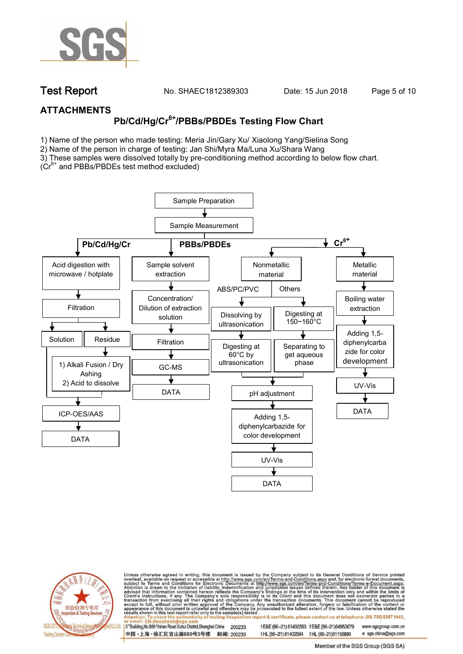

**Test Report. No. SHAEC1812389303 Date: 15 Jun 2018. Page 5 of 10.**

### **ATTACHMENTS**

# **Pb/Cd/Hg/Cr6+/PBBs/PBDEs Testing Flow Chart**

1) Name of the person who made testing: Meria Jin/Gary Xu/ Xiaolong Yang/Sielina Song

2) Name of the person in charge of testing: Jan Shi/Myra Ma/Luna Xu/Shara Wang

3) These samples were dissolved totally by pre-conditioning method according to below flow chart.

( $Cr<sup>6+</sup>$  and PBBs/PBDEs test method excluded)





Unless otherwise agreed in writing, this document is issued by the Company subject to its General Conditions of Service printed overleaf, available on request or accessible at http://www.sgs.com/en/Terms-and-Conditions.asp ion report & certificate, please contact us at telephone: (86-755) 8307 1443, esting/ins

13<sup>rd</sup> Building, No.889 Yishan Road Xuhui District, Shanghai China 200233 中国·上海·徐汇区宜山路889号3号楼 邮编: 200233 t E&E (86-21) 61402553 f E&E (86-21)64953679 www.sgsgroup.com.cn t HL (86-21) 61402594 f HL (86-21)61156899

e sgs.china@sgs.com Member of the SGS Group (SGS SA)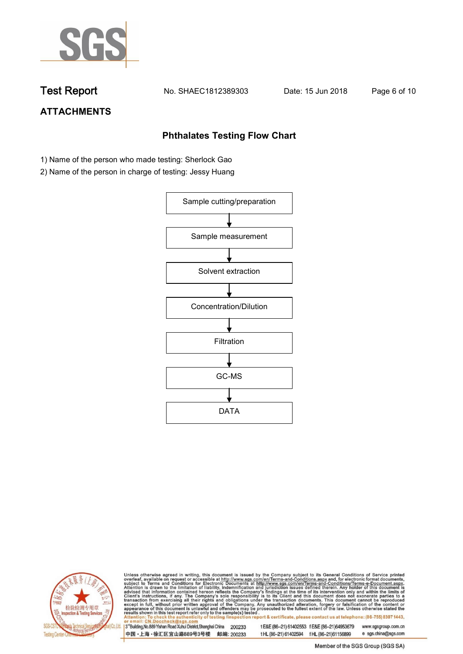

**Test Report. No. SHAEC1812389303 Date: 15 Jun 2018. Page 6 of 10.**

## **ATTACHMENTS**

### **Phthalates Testing Flow Chart**

- 1) Name of the person who made testing: Sherlock Gao
- 2) Name of the person in charge of testing: Jessy Huang





Unless otherwise agreed in writing, this document is issued by the Company subject to its General Conditions of Service printed overleaf, available on request or accessible at http://www.sgs.com/en/Terms-and-Conditions.asp

3<sup>rd</sup>Building, No.889 Yishan Road Xuhui District, Shanghai China 200233 中国·上海·徐汇区宜山路889号3号楼 邮编: 200233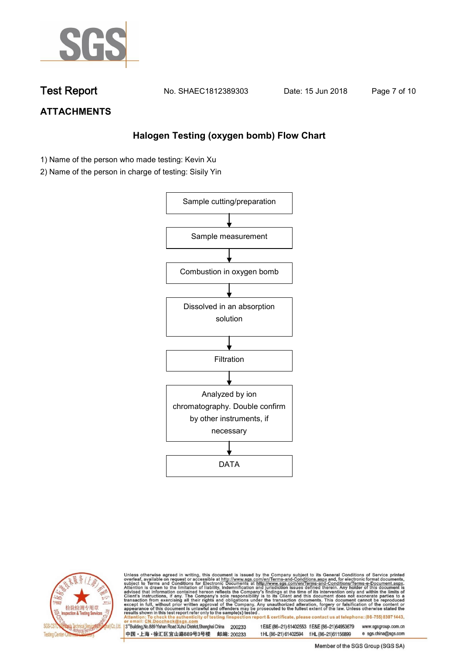

**Test Report. No. SHAEC1812389303 Date: 15 Jun 2018. Page 7 of 10.**

## **ATTACHMENTS**

### **Halogen Testing (oxygen bomb) Flow Chart**

- 1) Name of the person who made testing: Kevin Xu
- 2) Name of the person in charge of testing: Sisily Yin





Unless otherwise agreed in writing, this document is issued by the Company subject to its General Conditions of Service printed overleaf, available on request or accessible at http://www.sgs.com/en/Terms-and-Conditions.asp

3<sup>rd</sup>Building, No.889 Yishan Road Xuhui District, Shanghai China 200233 中国·上海·徐汇区宜山路889号3号楼 邮编: 200233 t E&E (86-21) 61402553 f E&E (86-21)64953679 www.sgsgroup.com.cn

t HL (86-21) 61402594 f HL (86-21) 61156899 e sgs.china@sgs.com Member of the SGS Group (SGS SA)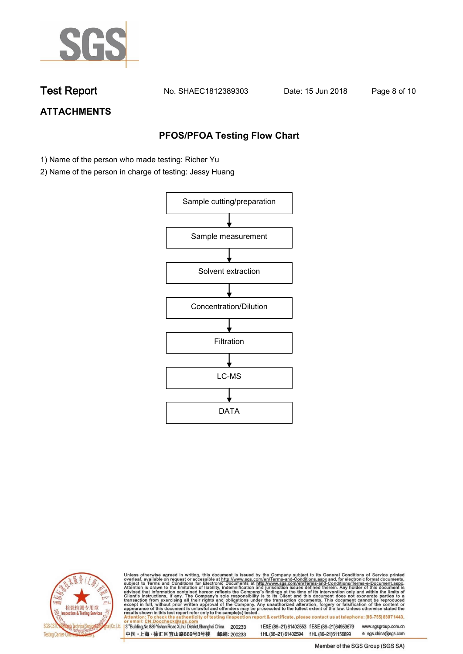

**Test Report. No. SHAEC1812389303 Date: 15 Jun 2018. Page 8 of 10.**

## **ATTACHMENTS**

### **PFOS/PFOA Testing Flow Chart**

- 1) Name of the person who made testing: Richer Yu
- 2) Name of the person in charge of testing: Jessy Huang





Unless otherwise agreed in writing, this document is issued by the Company subject to its General Conditions of Service printed overleaf, available on request or accessible at http://www.sgs.com/en/Terms-and-Conditions.asp

3<sup>rd</sup>Building, No.889 Yishan Road Xuhui District, Shanghai China 200233 中国·上海·徐汇区宜山路889号3号楼 邮编: 200233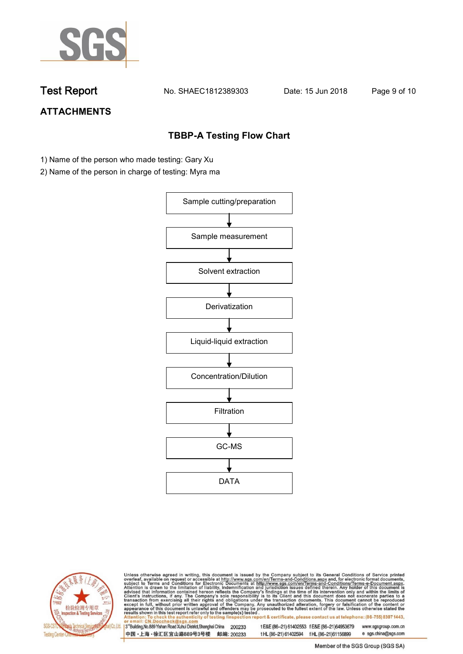

**Test Report. No. SHAEC1812389303 Date: 15 Jun 2018. Page 9 of 10.**

## **ATTACHMENTS**

### **TBBP-A Testing Flow Chart**

- 1) Name of the person who made testing: Gary Xu
- 2) Name of the person in charge of testing: Myra ma





Unless otherwise agreed in writing, this document is issued by the Company subject to its General Conditions of Service printed overleaf, available on request or accessible at http://www.sgs.com/en/Terms-and-Conditions.asp

3<sup>rd</sup>Building, No.889 Yishan Road Xuhui District, Shanghai China 200233 中国·上海·徐汇区宜山路889号3号楼 邮编: 200233